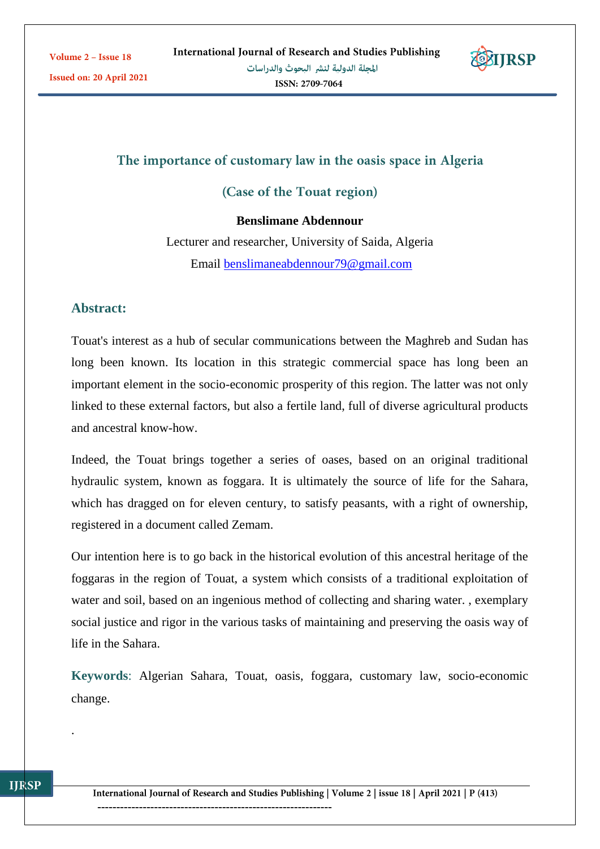

# The importance of customary law in the oasis space in Algeria

(Case of the Touat region)

#### **Benslimane Abdennour**

Lecturer and researcher, University of Saida, Algeria Email [benslimaneabdennour79@gmail.com](mailto:benslimaneabdennour79@gmail.com)

### **Abstract:**

Touat's interest as a hub of secular communications between the Maghreb and Sudan has long been known. Its location in this strategic commercial space has long been an important element in the socio-economic prosperity of this region. The latter was not only linked to these external factors, but also a fertile land, full of diverse agricultural products and ancestral know-how.

Indeed, the Touat brings together a series of oases, based on an original traditional hydraulic system, known as foggara. It is ultimately the source of life for the Sahara, which has dragged on for eleven century, to satisfy peasants, with a right of ownership, registered in a document called Zemam.

Our intention here is to go back in the historical evolution of this ancestral heritage of the foggaras in the region of Touat, a system which consists of a traditional exploitation of water and soil, based on an ingenious method of collecting and sharing water. , exemplary social justice and rigor in the various tasks of maintaining and preserving the oasis way of life in the Sahara.

**Keywords**: Algerian Sahara, Touat, oasis, foggara, customary law, socio-economic change.

.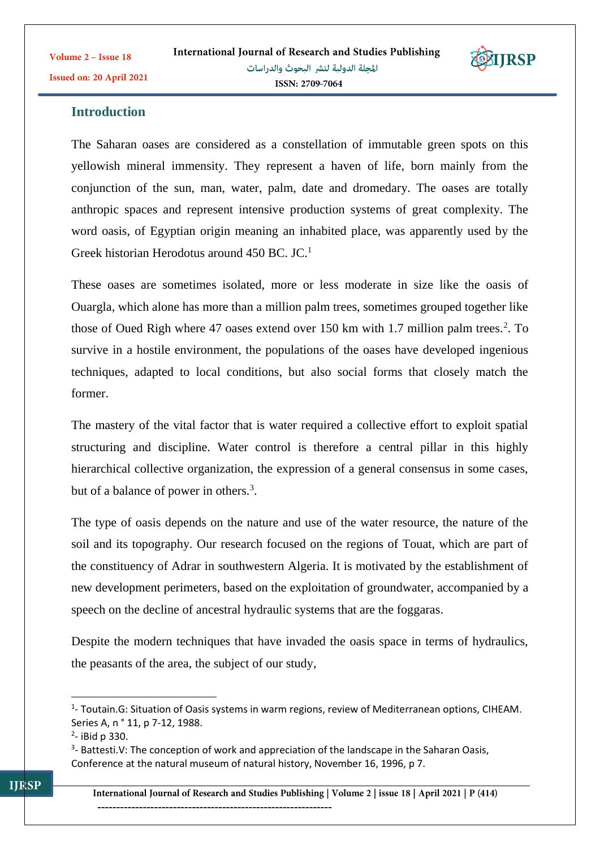

### **Introduction**

The Saharan oases are considered as a constellation of immutable green spots on this yellowish mineral immensity. They represent a haven of life, born mainly from the conjunction of the sun, man, water, palm, date and dromedary. The oases are totally anthropic spaces and represent intensive production systems of great complexity. The word oasis, of Egyptian origin meaning an inhabited place, was apparently used by the Greek historian Herodotus around 450 BC. JC.<sup>1</sup>

These oases are sometimes isolated, more or less moderate in size like the oasis of Ouargla, which alone has more than a million palm trees, sometimes grouped together like those of Oued Righ where 47 oases extend over 150 km with 1.7 million palm trees.<sup>2</sup>. To survive in a hostile environment, the populations of the oases have developed ingenious techniques, adapted to local conditions, but also social forms that closely match the former.

The mastery of the vital factor that is water required a collective effort to exploit spatial structuring and discipline. Water control is therefore a central pillar in this highly hierarchical collective organization, the expression of a general consensus in some cases, but of a balance of power in others.<sup>3</sup>.

The type of oasis depends on the nature and use of the water resource, the nature of the soil and its topography. Our research focused on the regions of Touat, which are part of the constituency of Adrar in southwestern Algeria. It is motivated by the establishment of new development perimeters, based on the exploitation of groundwater, accompanied by a speech on the decline of ancestral hydraulic systems that are the foggaras.

Despite the modern techniques that have invaded the oasis space in terms of hydraulics, the peasants of the area, the subject of our study,

**.** 

<sup>&</sup>lt;sup>1</sup>- Toutain.G: Situation of Oasis systems in warm regions, review of Mediterranean options, CIHEAM. Series A, n ° 11, p 7-12, 1988.

<sup>&</sup>lt;sup>2</sup>- iBid p 330.

 $3$ - Battesti.V: The conception of work and appreciation of the landscape in the Saharan Oasis, Conference at the natural museum of natural history, November 16, 1996, p 7.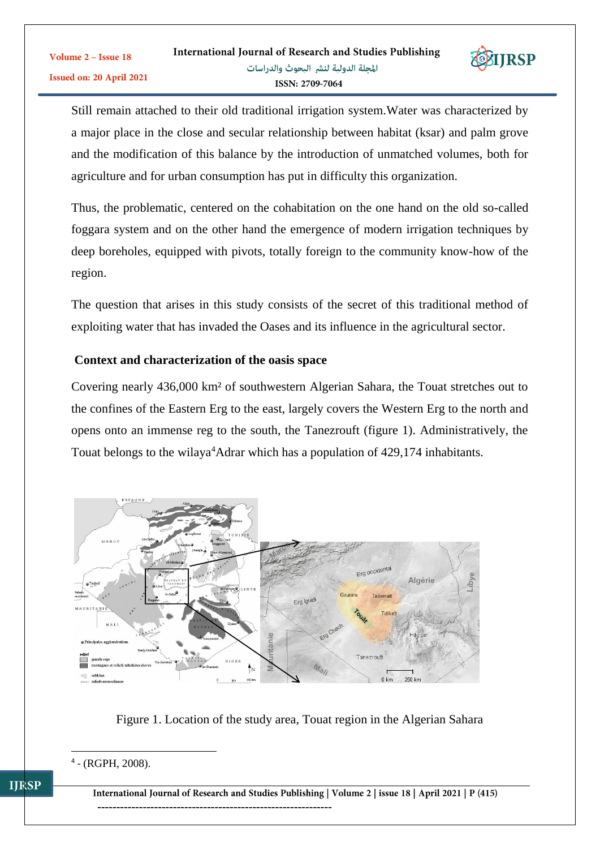

Still remain attached to their old traditional irrigation system.Water was characterized by a major place in the close and secular relationship between habitat (ksar) and palm grove and the modification of this balance by the introduction of unmatched volumes, both for agriculture and for urban consumption has put in difficulty this organization.

Thus, the problematic, centered on the cohabitation on the one hand on the old so-called foggara system and on the other hand the emergence of modern irrigation techniques by deep boreholes, equipped with pivots, totally foreign to the community know-how of the region.

The question that arises in this study consists of the secret of this traditional method of exploiting water that has invaded the Oases and its influence in the agricultural sector.

### **Context and characterization of the oasis space**

Covering nearly 436,000 km² of southwestern Algerian Sahara, the Touat stretches out to the confines of the Eastern Erg to the east, largely covers the Western Erg to the north and opens onto an immense reg to the south, the Tanezrouft (figure 1). Administratively, the Touat belongs to the wilaya<sup>4</sup>Adrar which has a population of 429,174 inhabitants.



Figure 1. Location of the study area, Touat region in the Algerian Sahara

1

Volume 2 - Issue 18

International Journal of Research and Studies Publishing | Volume 2 | issue 18 | April 2021 | P (415) --------------------------------------------------------------

<sup>4</sup> - (RGPH, 2008).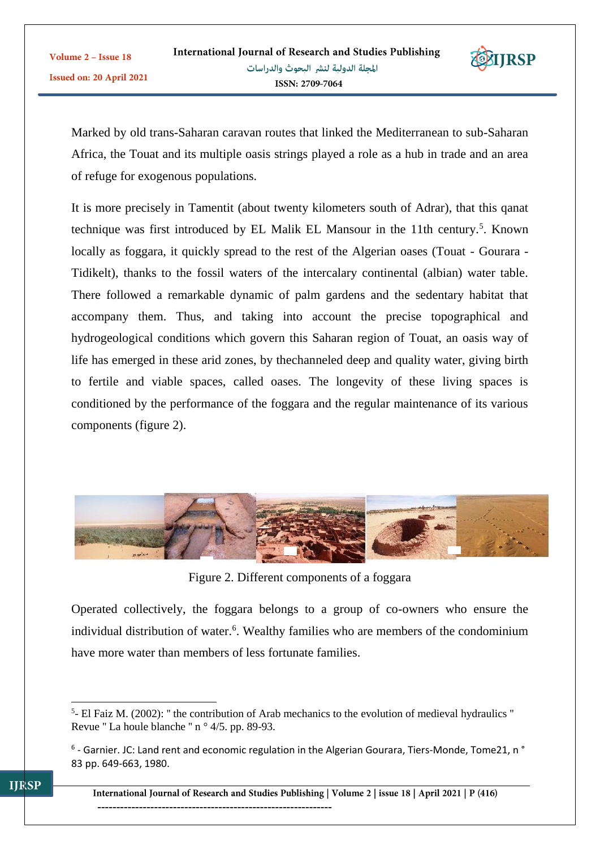

Marked by old trans-Saharan caravan routes that linked the Mediterranean to sub-Saharan Africa, the Touat and its multiple oasis strings played a role as a hub in trade and an area of refuge for exogenous populations.

It is more precisely in Tamentit (about twenty kilometers south of Adrar), that this qanat technique was first introduced by EL Malik EL Mansour in the 11th century.<sup>5</sup>. Known locally as foggara, it quickly spread to the rest of the Algerian oases (Touat - Gourara - Tidikelt), thanks to the fossil waters of the intercalary continental (albian) water table. There followed a remarkable dynamic of palm gardens and the sedentary habitat that accompany them. Thus, and taking into account the precise topographical and hydrogeological conditions which govern this Saharan region of Touat, an oasis way of life has emerged in these arid zones, by thechanneled deep and quality water, giving birth to fertile and viable spaces, called oases. The longevity of these living spaces is conditioned by the performance of the foggara and the regular maintenance of its various components (figure 2).



Figure 2. Different components of a foggara

Operated collectively, the foggara belongs to a group of co-owners who ensure the individual distribution of water.<sup>6</sup>. Wealthy families who are members of the condominium have more water than members of less fortunate families.

<sup>1</sup>  $<sup>5</sup>$ - El Faiz M. (2002): " the contribution of Arab mechanics to the evolution of medieval hydraulics "</sup> Revue '' La houle blanche '' n ° 4/5. pp. 89-93.

<sup>&</sup>lt;sup>6</sup> - Garnier. JC: Land rent and economic regulation in the Algerian Gourara, Tiers-Monde, Tome21, n ° 83 pp. 649-663, 1980.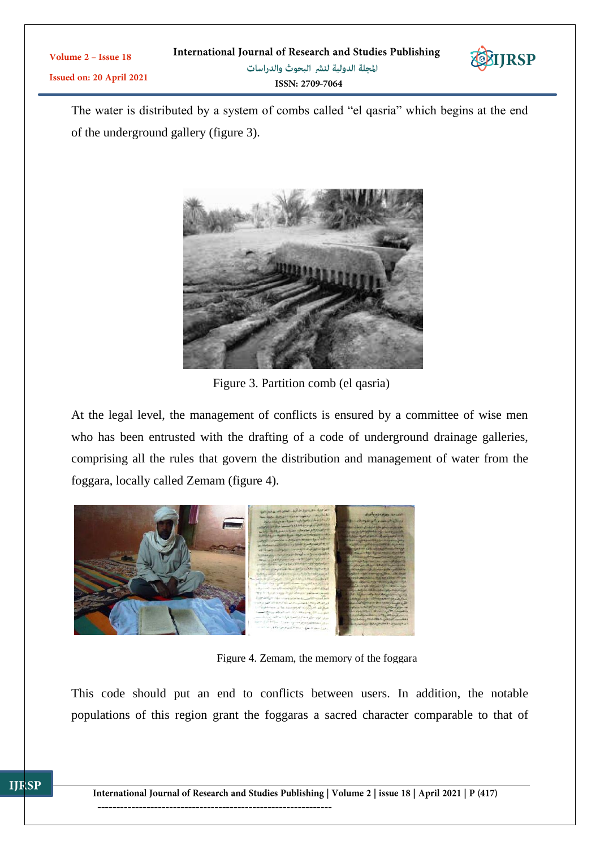| Volume $2 -$ Issue 18           | International Journal of Research and Studies Publishing | EXIJRSP |
|---------------------------------|----------------------------------------------------------|---------|
| <b>Issued on: 20 April 2021</b> | المجلة الدولية لنشر البحوث والدراسات                     |         |
|                                 | ISSN: 2709-7064                                          |         |

The water is distributed by a system of combs called "el qasria" which begins at the end of the underground gallery (figure 3).



Figure 3. Partition comb (el qasria)

At the legal level, the management of conflicts is ensured by a committee of wise men who has been entrusted with the drafting of a code of underground drainage galleries, comprising all the rules that govern the distribution and management of water from the foggara, locally called Zemam (figure 4).



**IJRSP** 

Figure 4. Zemam, the memory of the foggara

This code should put an end to conflicts between users. In addition, the notable populations of this region grant the foggaras a sacred character comparable to that of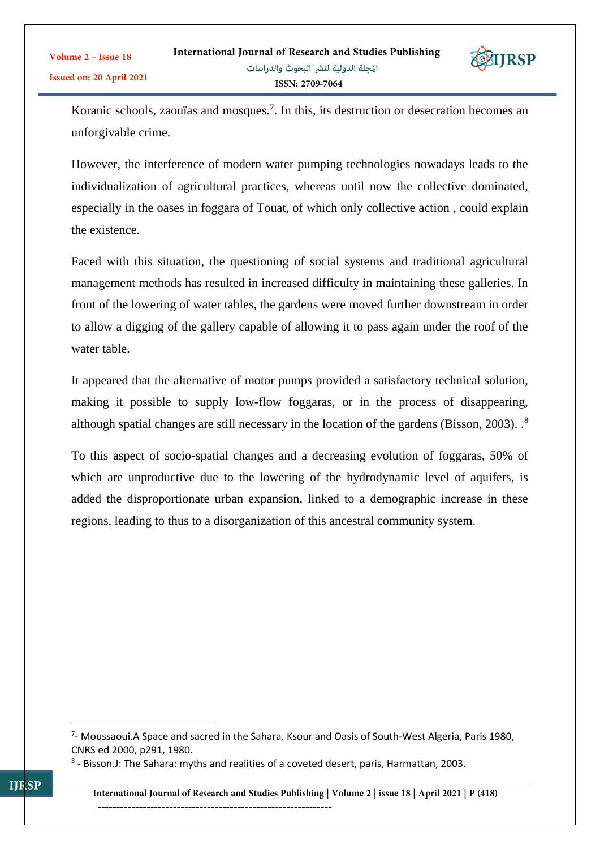

Koranic schools, zaouïas and mosques.<sup>7</sup>. In this, its destruction or desecration becomes an unforgivable crime.

However, the interference of modern water pumping technologies nowadays leads to the individualization of agricultural practices, whereas until now the collective dominated, especially in the oases in foggara of Touat, of which only collective action , could explain the existence.

Faced with this situation, the questioning of social systems and traditional agricultural management methods has resulted in increased difficulty in maintaining these galleries. In front of the lowering of water tables, the gardens were moved further downstream in order to allow a digging of the gallery capable of allowing it to pass again under the roof of the water table.

It appeared that the alternative of motor pumps provided a satisfactory technical solution, making it possible to supply low-flow foggaras, or in the process of disappearing, although spatial changes are still necessary in the location of the gardens (Bisson, 2003). .<sup>8</sup>

To this aspect of socio-spatial changes and a decreasing evolution of foggaras, 50% of which are unproductive due to the lowering of the hydrodynamic level of aquifers, is added the disproportionate urban expansion, linked to a demographic increase in these regions, leading to thus to a disorganization of this ancestral community system.

 $\overline{a}$ 

Volume 2 - Issue 18

<sup>&</sup>lt;sup>7</sup>- Moussaoui.A Space and sacred in the Sahara. Ksour and Oasis of South-West Algeria, Paris 1980, CNRS ed 2000, p291, 1980.

<sup>&</sup>lt;sup>8</sup> - Bisson.J: The Sahara: myths and realities of a coveted desert, paris, Harmattan, 2003.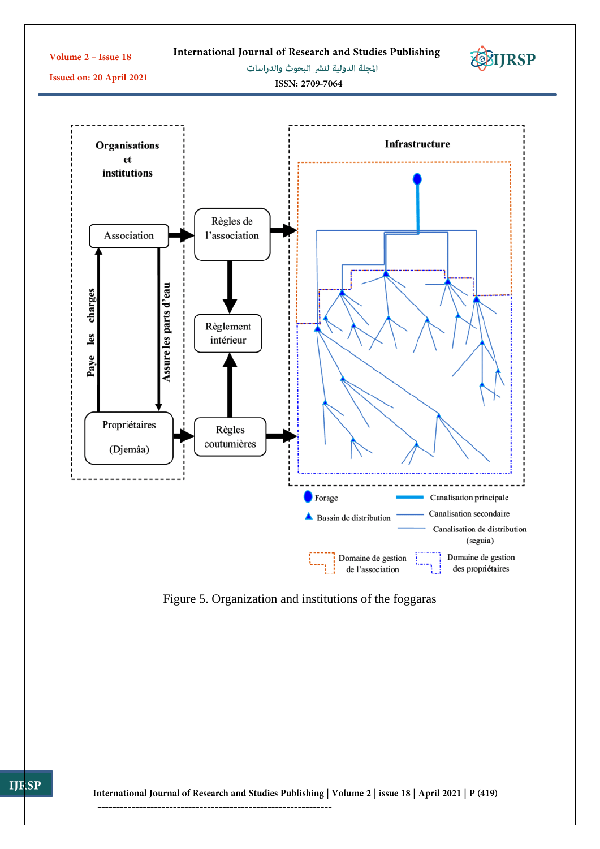

Figure 5. Organization and institutions of the foggaras

--------------------------------------------------------------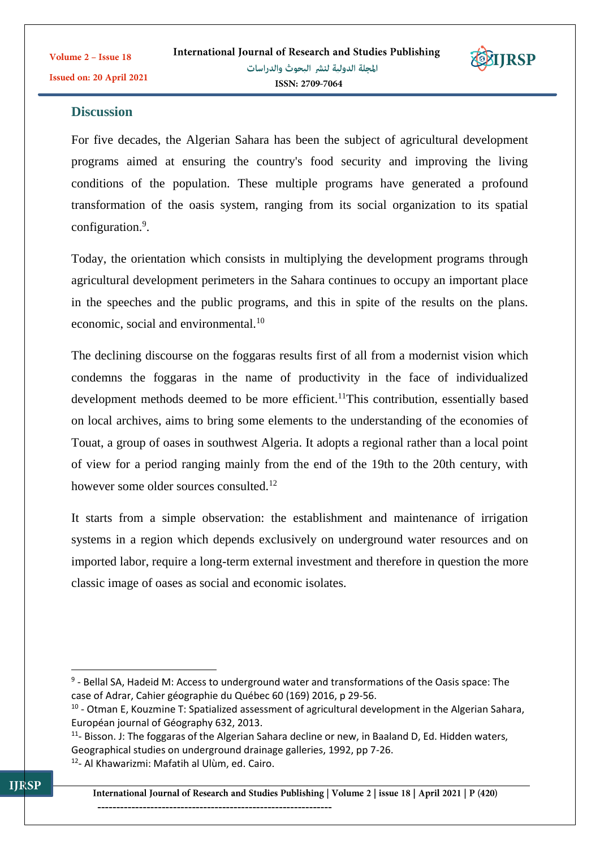**TIRSP** 

## **Discussion**

For five decades, the Algerian Sahara has been the subject of agricultural development programs aimed at ensuring the country's food security and improving the living conditions of the population. These multiple programs have generated a profound transformation of the oasis system, ranging from its social organization to its spatial configuration.<sup>9</sup>.

Today, the orientation which consists in multiplying the development programs through agricultural development perimeters in the Sahara continues to occupy an important place in the speeches and the public programs, and this in spite of the results on the plans. economic, social and environmental.<sup>10</sup>

The declining discourse on the foggaras results first of all from a modernist vision which condemns the foggaras in the name of productivity in the face of individualized development methods deemed to be more efficient.<sup>11</sup>This contribution, essentially based on local archives, aims to bring some elements to the understanding of the economies of Touat, a group of oases in southwest Algeria. It adopts a regional rather than a local point of view for a period ranging mainly from the end of the 19th to the 20th century, with however some older sources consulted.<sup>12</sup>

It starts from a simple observation: the establishment and maintenance of irrigation systems in a region which depends exclusively on underground water resources and on imported labor, require a long-term external investment and therefore in question the more classic image of oases as social and economic isolates.

<sup>1</sup> <sup>9</sup> - Bellal SA, Hadeid M: Access to underground water and transformations of the Oasis space: The case of Adrar, Cahier géographie du Québec 60 (169) 2016, p 29-56.

<sup>&</sup>lt;sup>10</sup> - Otman E, Kouzmine T: Spatialized assessment of agricultural development in the Algerian Sahara, Européan journal of Géography 632, 2013.

<sup>&</sup>lt;sup>11</sup>- Bisson. J: The foggaras of the Algerian Sahara decline or new, in Baaland D, Ed. Hidden waters, Geographical studies on underground drainage galleries, 1992, pp 7-26.

<sup>&</sup>lt;sup>12</sup>- Al Khawarizmi: Mafatih al Ulùm, ed. Cairo.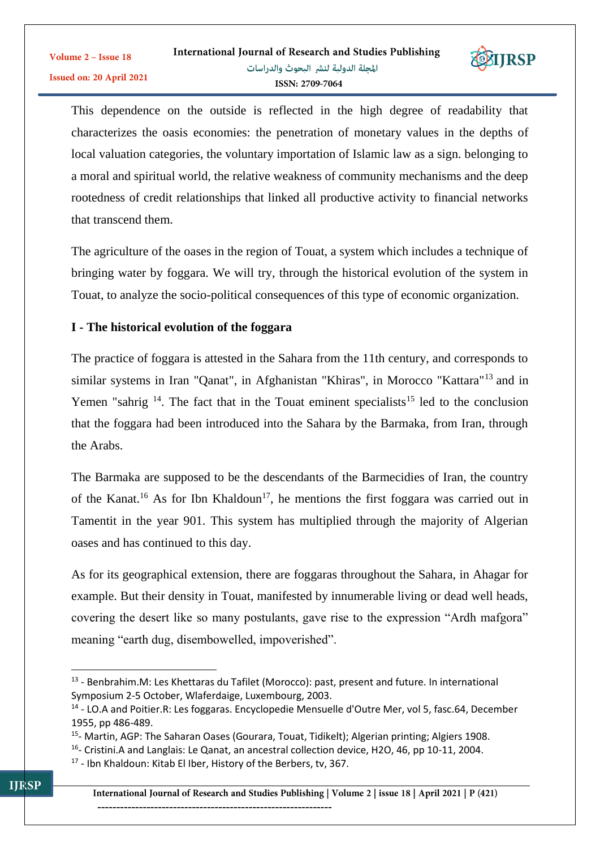

This dependence on the outside is reflected in the high degree of readability that characterizes the oasis economies: the penetration of monetary values in the depths of local valuation categories, the voluntary importation of Islamic law as a sign. belonging to a moral and spiritual world, the relative weakness of community mechanisms and the deep rootedness of credit relationships that linked all productive activity to financial networks that transcend them.

The agriculture of the oases in the region of Touat, a system which includes a technique of bringing water by foggara. We will try, through the historical evolution of the system in Touat, to analyze the socio-political consequences of this type of economic organization.

# **I - The historical evolution of the foggara**

The practice of foggara is attested in the Sahara from the 11th century, and corresponds to similar systems in Iran "Qanat", in Afghanistan "Khiras", in Morocco "Kattara"<sup>13</sup> and in Yemen "sahrig  $14$ . The fact that in the Touat eminent specialists<sup>15</sup> led to the conclusion that the foggara had been introduced into the Sahara by the Barmaka, from Iran, through the Arabs.

The Barmaka are supposed to be the descendants of the Barmecidies of Iran, the country of the Kanat.<sup>16</sup> As for Ibn Khaldoun<sup>17</sup>, he mentions the first foggara was carried out in Tamentit in the year 901. This system has multiplied through the majority of Algerian oases and has continued to this day.

As for its geographical extension, there are foggaras throughout the Sahara, in Ahagar for example. But their density in Touat, manifested by innumerable living or dead well heads, covering the desert like so many postulants, gave rise to the expression "Ardh mafgora" meaning "earth dug, disembowelled, impoverished".

1

Volume 2 - Issue 18

<sup>&</sup>lt;sup>13</sup> - Benbrahim.M: Les Khettaras du Tafilet (Morocco): past, present and future. In international Symposium 2-5 October, Wlaferdaige, Luxembourg, 2003.

<sup>&</sup>lt;sup>14</sup> - LO.A and Poitier.R: Les foggaras. Encyclopedie Mensuelle d'Outre Mer, vol 5, fasc.64, December 1955, pp 486-489.

<sup>&</sup>lt;sup>15</sup>- Martin, AGP: The Saharan Oases (Gourara, Touat, Tidikelt); Algerian printing; Algiers 1908.

<sup>&</sup>lt;sup>16</sup>- Cristini.A and Langlais: Le Qanat, an ancestral collection device, H2O, 46, pp 10-11, 2004.

<sup>&</sup>lt;sup>17</sup> - Ibn Khaldoun: Kitab El Iber, History of the Berbers, tv, 367.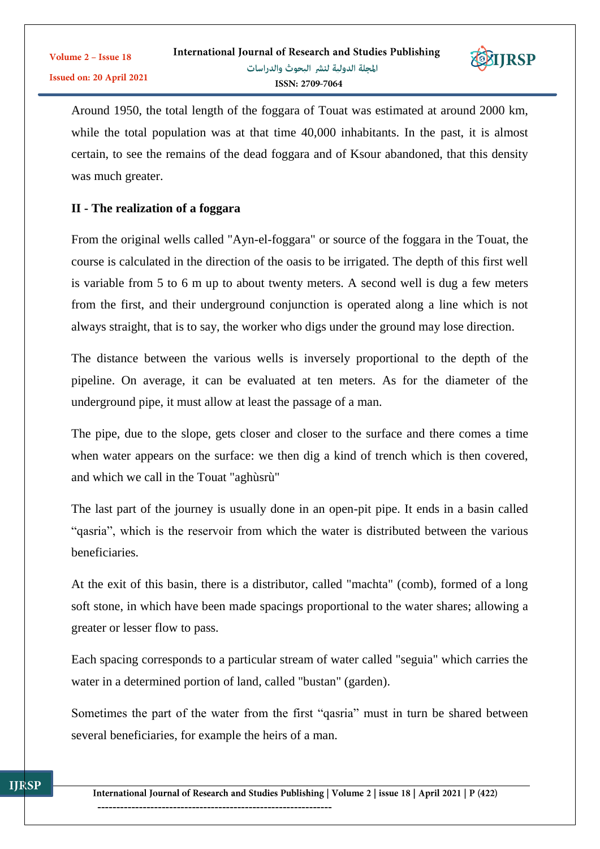

Around 1950, the total length of the foggara of Touat was estimated at around 2000 km, while the total population was at that time 40,000 inhabitants. In the past, it is almost certain, to see the remains of the dead foggara and of Ksour abandoned, that this density was much greater.

#### **II - The realization of a foggara**

From the original wells called "Ayn-el-foggara" or source of the foggara in the Touat, the course is calculated in the direction of the oasis to be irrigated. The depth of this first well is variable from 5 to 6 m up to about twenty meters. A second well is dug a few meters from the first, and their underground conjunction is operated along a line which is not always straight, that is to say, the worker who digs under the ground may lose direction.

The distance between the various wells is inversely proportional to the depth of the pipeline. On average, it can be evaluated at ten meters. As for the diameter of the underground pipe, it must allow at least the passage of a man.

The pipe, due to the slope, gets closer and closer to the surface and there comes a time when water appears on the surface: we then dig a kind of trench which is then covered, and which we call in the Touat "aghùsrù"

The last part of the journey is usually done in an open-pit pipe. It ends in a basin called "qasria", which is the reservoir from which the water is distributed between the various beneficiaries.

At the exit of this basin, there is a distributor, called "machta" (comb), formed of a long soft stone, in which have been made spacings proportional to the water shares; allowing a greater or lesser flow to pass.

Each spacing corresponds to a particular stream of water called "seguia" which carries the water in a determined portion of land, called "bustan" (garden).

Sometimes the part of the water from the first "qasria" must in turn be shared between several beneficiaries, for example the heirs of a man.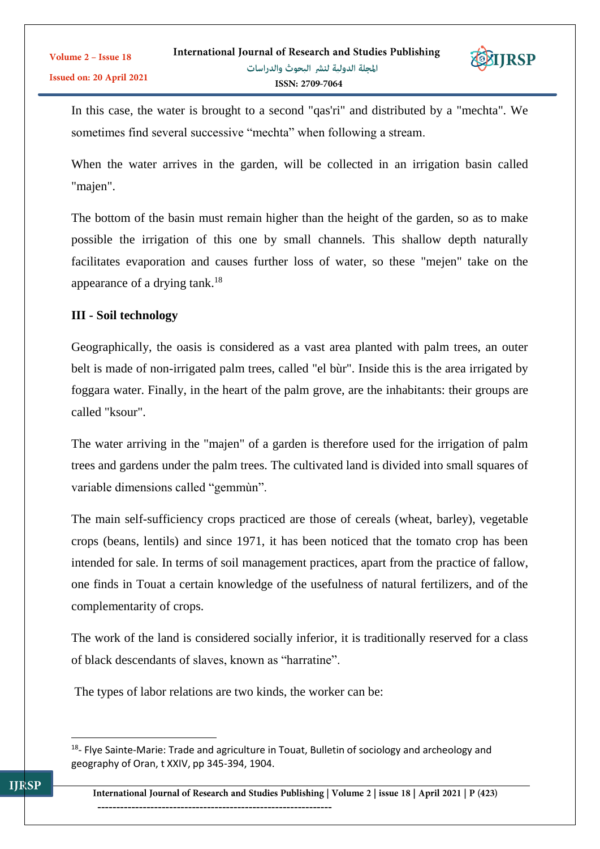

In this case, the water is brought to a second "qas'ri" and distributed by a "mechta". We sometimes find several successive "mechta" when following a stream.

When the water arrives in the garden, will be collected in an irrigation basin called "majen".

The bottom of the basin must remain higher than the height of the garden, so as to make possible the irrigation of this one by small channels. This shallow depth naturally facilitates evaporation and causes further loss of water, so these "mejen" take on the appearance of a drying tank.<sup>18</sup>

### **III - Soil technology**

Geographically, the oasis is considered as a vast area planted with palm trees, an outer belt is made of non-irrigated palm trees, called "el bùr". Inside this is the area irrigated by foggara water. Finally, in the heart of the palm grove, are the inhabitants: their groups are called "ksour".

The water arriving in the "majen" of a garden is therefore used for the irrigation of palm trees and gardens under the palm trees. The cultivated land is divided into small squares of variable dimensions called "gemmùn".

The main self-sufficiency crops practiced are those of cereals (wheat, barley), vegetable crops (beans, lentils) and since 1971, it has been noticed that the tomato crop has been intended for sale. In terms of soil management practices, apart from the practice of fallow, one finds in Touat a certain knowledge of the usefulness of natural fertilizers, and of the complementarity of crops.

The work of the land is considered socially inferior, it is traditionally reserved for a class of black descendants of slaves, known as "harratine".

The types of labor relations are two kinds, the worker can be:

1

<sup>&</sup>lt;sup>18</sup>- Flye Sainte-Marie: Trade and agriculture in Touat, Bulletin of sociology and archeology and geography of Oran, t XXIV, pp 345-394, 1904.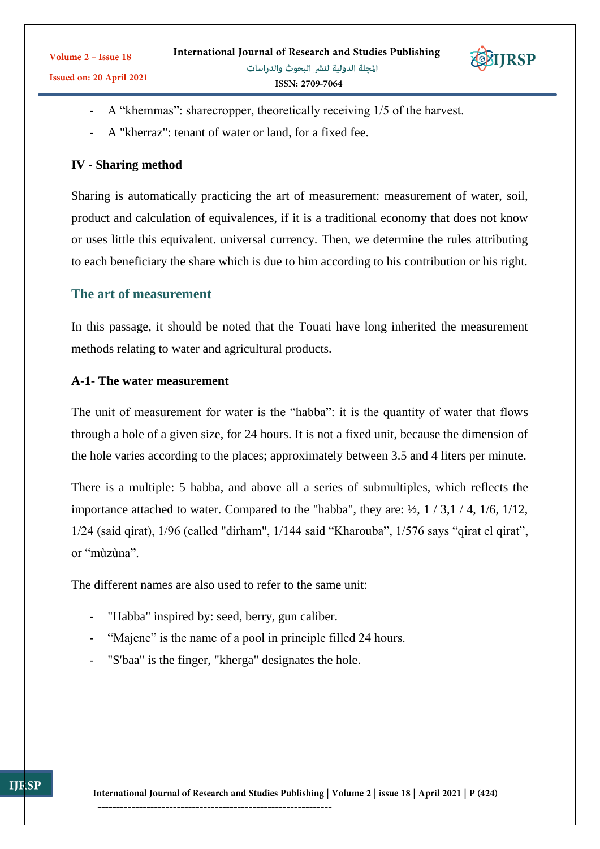

- A "khemmas": sharecropper, theoretically receiving 1/5 of the harvest.
- A "kherraz": tenant of water or land, for a fixed fee.

### **IV - Sharing method**

Sharing is automatically practicing the art of measurement: measurement of water, soil, product and calculation of equivalences, if it is a traditional economy that does not know or uses little this equivalent. universal currency. Then, we determine the rules attributing to each beneficiary the share which is due to him according to his contribution or his right.

### **The art of measurement**

In this passage, it should be noted that the Touati have long inherited the measurement methods relating to water and agricultural products.

### **A-1- The water measurement**

The unit of measurement for water is the "habba": it is the quantity of water that flows through a hole of a given size, for 24 hours. It is not a fixed unit, because the dimension of the hole varies according to the places; approximately between 3.5 and 4 liters per minute.

There is a multiple: 5 habba, and above all a series of submultiples, which reflects the importance attached to water. Compared to the "habba", they are:  $\frac{1}{2}$ , 1 / 3, 1 / 4, 1/6, 1/12, 1/24 (said qirat), 1/96 (called "dirham", 1/144 said "Kharouba", 1/576 says "qirat el qirat", or "mùzùna".

The different names are also used to refer to the same unit:

- "Habba" inspired by: seed, berry, gun caliber.
- "Majene" is the name of a pool in principle filled 24 hours.
- "S'baa" is the finger, "kherga" designates the hole.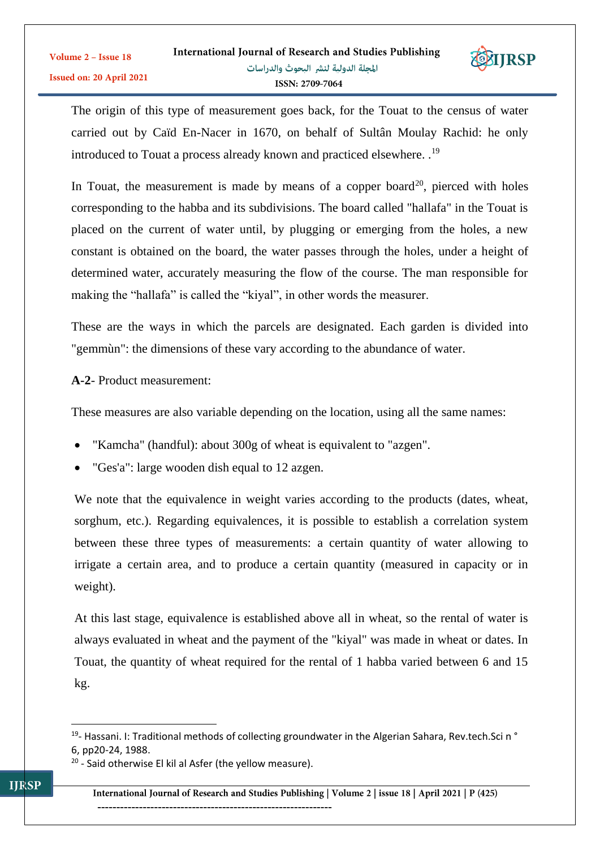

The origin of this type of measurement goes back, for the Touat to the census of water carried out by Caïd En-Nacer in 1670, on behalf of Sultân Moulay Rachid: he only introduced to Touat a process already known and practiced elsewhere. .<sup>19</sup>

In Touat, the measurement is made by means of a copper board<sup>20</sup>, pierced with holes corresponding to the habba and its subdivisions. The board called "hallafa" in the Touat is placed on the current of water until, by plugging or emerging from the holes, a new constant is obtained on the board, the water passes through the holes, under a height of determined water, accurately measuring the flow of the course. The man responsible for making the "hallafa" is called the "kiyal", in other words the measurer.

These are the ways in which the parcels are designated. Each garden is divided into "gemmùn": the dimensions of these vary according to the abundance of water.

### **A-2**- Product measurement:

These measures are also variable depending on the location, using all the same names:

- "Kamcha" (handful): about 300g of wheat is equivalent to "azgen".
- "Ges'a": large wooden dish equal to 12 azgen.

We note that the equivalence in weight varies according to the products (dates, wheat, sorghum, etc.). Regarding equivalences, it is possible to establish a correlation system between these three types of measurements: a certain quantity of water allowing to irrigate a certain area, and to produce a certain quantity (measured in capacity or in weight).

At this last stage, equivalence is established above all in wheat, so the rental of water is always evaluated in wheat and the payment of the "kiyal" was made in wheat or dates. In Touat, the quantity of wheat required for the rental of 1 habba varied between 6 and 15 kg.

 $\overline{a}$ 

<sup>&</sup>lt;sup>19</sup>- Hassani. I: Traditional methods of collecting groundwater in the Algerian Sahara, Rev.tech.Sci n ° 6, pp20-24, 1988.

<sup>&</sup>lt;sup>20</sup> - Said otherwise El kil al Asfer (the yellow measure).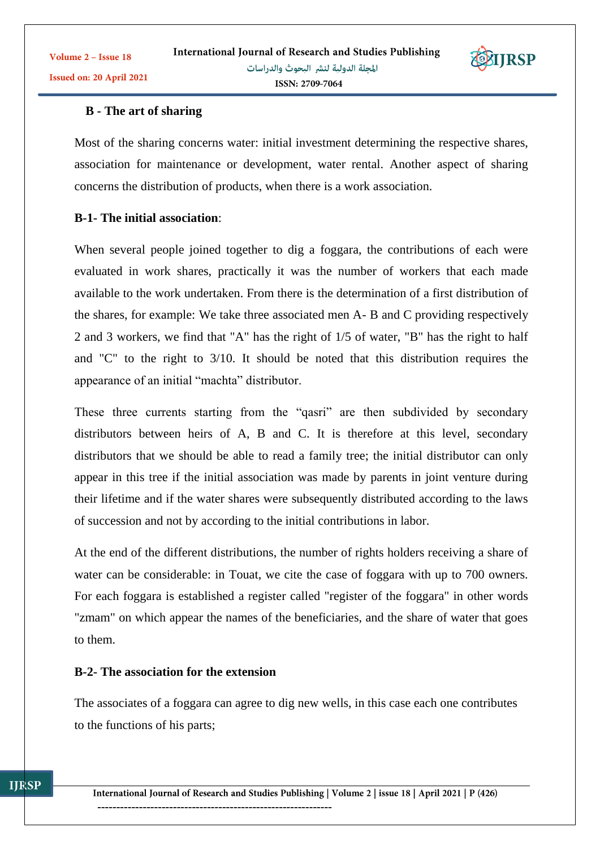# **B - The art of sharing**

Most of the sharing concerns water: initial investment determining the respective shares, association for maintenance or development, water rental. Another aspect of sharing concerns the distribution of products, when there is a work association.

### **B-1- The initial association**:

When several people joined together to dig a foggara, the contributions of each were evaluated in work shares, practically it was the number of workers that each made available to the work undertaken. From there is the determination of a first distribution of the shares, for example: We take three associated men A- B and C providing respectively 2 and 3 workers, we find that "A" has the right of 1/5 of water, "B" has the right to half and "C" to the right to 3/10. It should be noted that this distribution requires the appearance of an initial "machta" distributor.

These three currents starting from the "qasri" are then subdivided by secondary distributors between heirs of A, B and C. It is therefore at this level, secondary distributors that we should be able to read a family tree; the initial distributor can only appear in this tree if the initial association was made by parents in joint venture during their lifetime and if the water shares were subsequently distributed according to the laws of succession and not by according to the initial contributions in labor.

At the end of the different distributions, the number of rights holders receiving a share of water can be considerable: in Touat, we cite the case of foggara with up to 700 owners. For each foggara is established a register called "register of the foggara" in other words "zmam" on which appear the names of the beneficiaries, and the share of water that goes to them.

### **B-2- The association for the extension**

The associates of a foggara can agree to dig new wells, in this case each one contributes to the functions of his parts;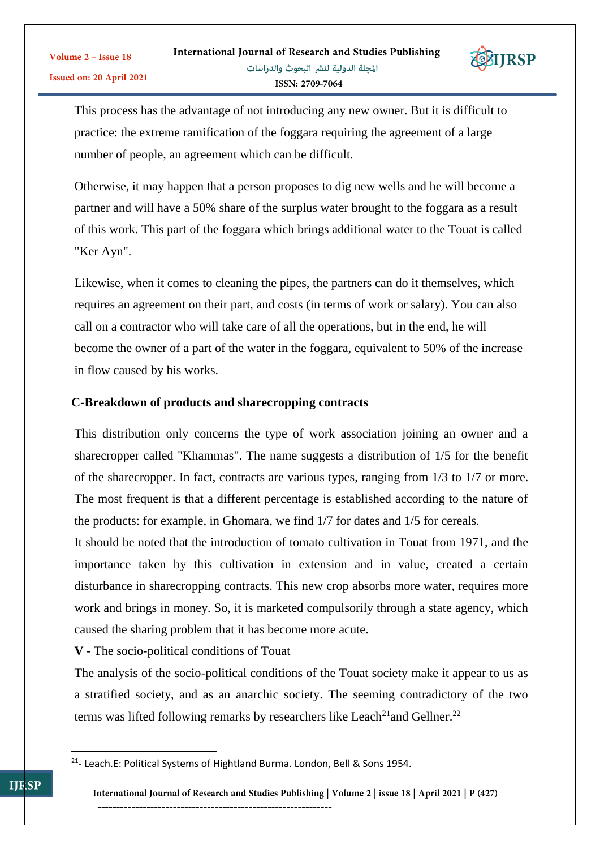

This process has the advantage of not introducing any new owner. But it is difficult to practice: the extreme ramification of the foggara requiring the agreement of a large number of people, an agreement which can be difficult.

Otherwise, it may happen that a person proposes to dig new wells and he will become a partner and will have a 50% share of the surplus water brought to the foggara as a result of this work. This part of the foggara which brings additional water to the Touat is called "Ker Ayn".

Likewise, when it comes to cleaning the pipes, the partners can do it themselves, which requires an agreement on their part, and costs (in terms of work or salary). You can also call on a contractor who will take care of all the operations, but in the end, he will become the owner of a part of the water in the foggara, equivalent to 50% of the increase in flow caused by his works.

### **C-Breakdown of products and sharecropping contracts**

This distribution only concerns the type of work association joining an owner and a sharecropper called "Khammas". The name suggests a distribution of 1/5 for the benefit of the sharecropper. In fact, contracts are various types, ranging from 1/3 to 1/7 or more. The most frequent is that a different percentage is established according to the nature of the products: for example, in Ghomara, we find 1/7 for dates and 1/5 for cereals.

It should be noted that the introduction of tomato cultivation in Touat from 1971, and the importance taken by this cultivation in extension and in value, created a certain disturbance in sharecropping contracts. This new crop absorbs more water, requires more work and brings in money. So, it is marketed compulsorily through a state agency, which caused the sharing problem that it has become more acute.

**V** - The socio-political conditions of Touat

The analysis of the socio-political conditions of the Touat society make it appear to us as a stratified society, and as an anarchic society. The seeming contradictory of the two terms was lifted following remarks by researchers like Leach<sup>21</sup>and Gellner.<sup>22</sup>

1

<sup>&</sup>lt;sup>21</sup>- Leach.E: Political Systems of Hightland Burma. London, Bell & Sons 1954.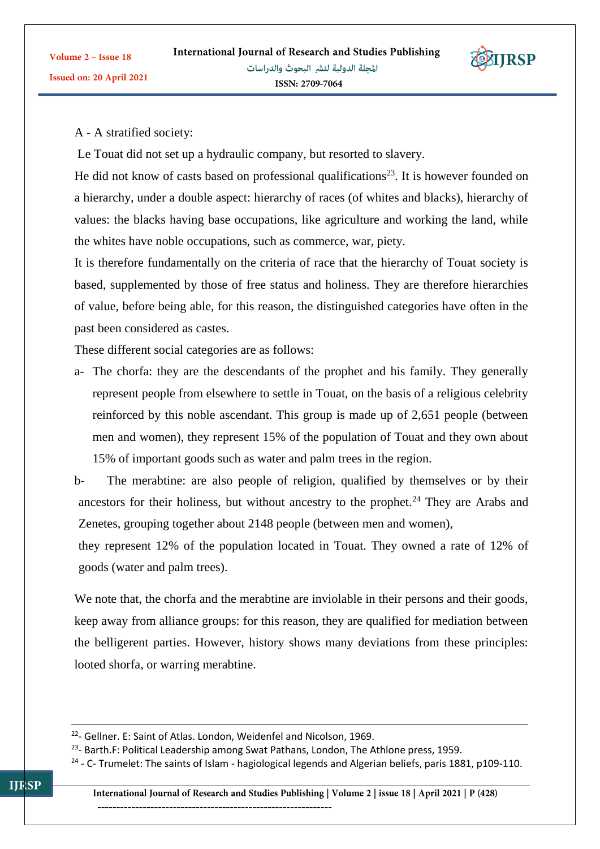

Volume 2 - Issue 18

Issued on: 20 April 2021

Le Touat did not set up a hydraulic company, but resorted to slavery.

He did not know of casts based on professional qualifications<sup>23</sup>. It is however founded on a hierarchy, under a double aspect: hierarchy of races (of whites and blacks), hierarchy of values: the blacks having base occupations, like agriculture and working the land, while the whites have noble occupations, such as commerce, war, piety.

It is therefore fundamentally on the criteria of race that the hierarchy of Touat society is based, supplemented by those of free status and holiness. They are therefore hierarchies of value, before being able, for this reason, the distinguished categories have often in the past been considered as castes.

These different social categories are as follows:

a- The chorfa: they are the descendants of the prophet and his family. They generally represent people from elsewhere to settle in Touat, on the basis of a religious celebrity reinforced by this noble ascendant. This group is made up of 2,651 people (between men and women), they represent 15% of the population of Touat and they own about 15% of important goods such as water and palm trees in the region.

b- The merabtine: are also people of religion, qualified by themselves or by their ancestors for their holiness, but without ancestry to the prophet.<sup>24</sup> They are Arabs and Zenetes, grouping together about 2148 people (between men and women),

they represent 12% of the population located in Touat. They owned a rate of 12% of goods (water and palm trees).

We note that, the chorfa and the merabtine are inviolable in their persons and their goods, keep away from alliance groups: for this reason, they are qualified for mediation between the belligerent parties. However, history shows many deviations from these principles: looted shorfa, or warring merabtine.

 $\overline{a}$ 

<sup>&</sup>lt;sup>22</sup>- Gellner. E: Saint of Atlas. London, Weidenfel and Nicolson, 1969.

<sup>&</sup>lt;sup>23</sup>- Barth.F: Political Leadership among Swat Pathans, London, The Athlone press, 1959.

<sup>&</sup>lt;sup>24</sup> - C- Trumelet: The saints of Islam - hagiological legends and Algerian beliefs, paris 1881, p109-110.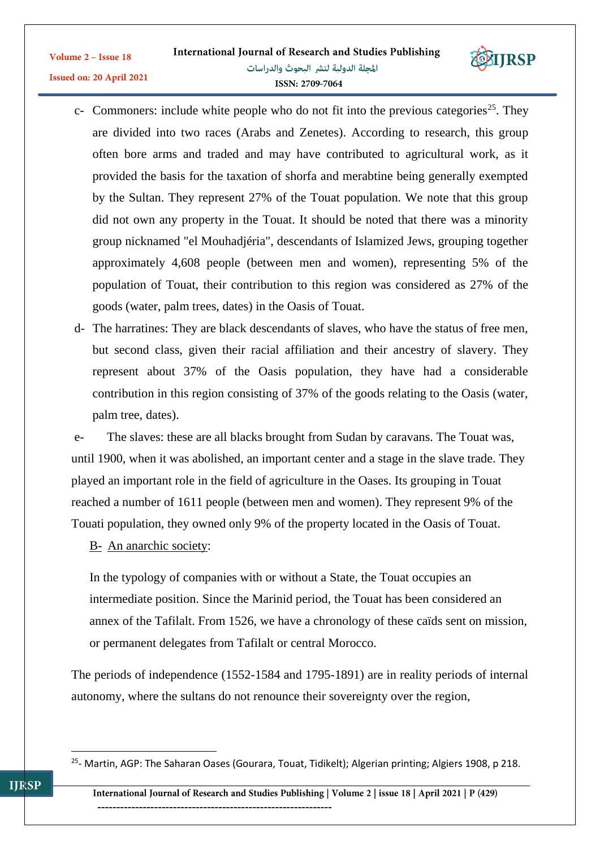

- c- Commoners: include white people who do not fit into the previous categories<sup>25</sup>. They are divided into two races (Arabs and Zenetes). According to research, this group often bore arms and traded and may have contributed to agricultural work, as it provided the basis for the taxation of shorfa and merabtine being generally exempted by the Sultan. They represent 27% of the Touat population. We note that this group did not own any property in the Touat. It should be noted that there was a minority group nicknamed "el Mouhadjéria", descendants of Islamized Jews, grouping together approximately 4,608 people (between men and women), representing 5% of the population of Touat, their contribution to this region was considered as 27% of the goods (water, palm trees, dates) in the Oasis of Touat.
- d- The harratines: They are black descendants of slaves, who have the status of free men, but second class, given their racial affiliation and their ancestry of slavery. They represent about 37% of the Oasis population, they have had a considerable contribution in this region consisting of 37% of the goods relating to the Oasis (water, palm tree, dates).

e- The slaves: these are all blacks brought from Sudan by caravans. The Touat was, until 1900, when it was abolished, an important center and a stage in the slave trade. They played an important role in the field of agriculture in the Oases. Its grouping in Touat reached a number of 1611 people (between men and women). They represent 9% of the Touati population, they owned only 9% of the property located in the Oasis of Touat.

B- An anarchic society:

Volume 2 - Issue 18

In the typology of companies with or without a State, the Touat occupies an intermediate position. Since the Marinid period, the Touat has been considered an annex of the Tafilalt. From 1526, we have a chronology of these caïds sent on mission, or permanent delegates from Tafilalt or central Morocco.

The periods of independence (1552-1584 and 1795-1891) are in reality periods of internal autonomy, where the sultans do not renounce their sovereignty over the region,

1

<sup>&</sup>lt;sup>25</sup>- Martin, AGP: The Saharan Oases (Gourara, Touat, Tidikelt); Algerian printing; Algiers 1908, p 218.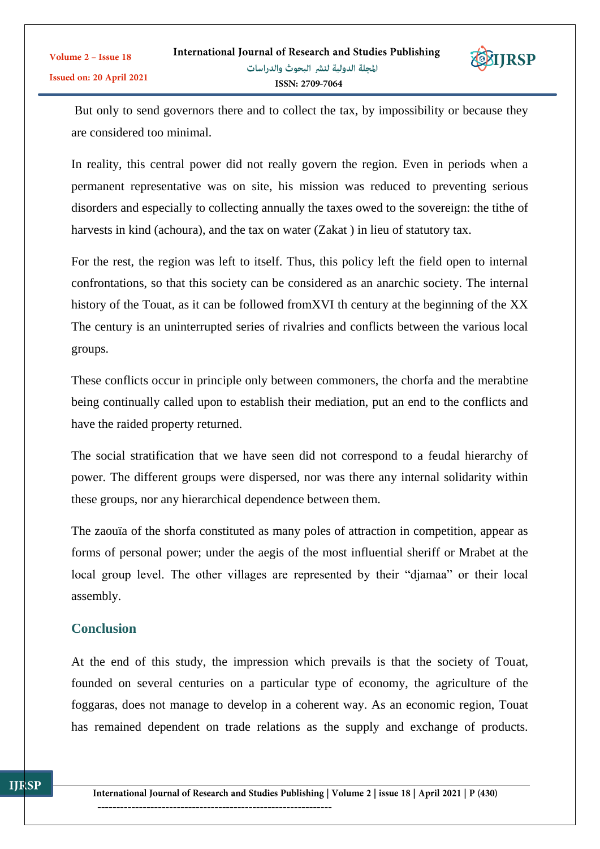

But only to send governors there and to collect the tax, by impossibility or because they are considered too minimal.

In reality, this central power did not really govern the region. Even in periods when a permanent representative was on site, his mission was reduced to preventing serious disorders and especially to collecting annually the taxes owed to the sovereign: the tithe of harvests in kind (achoura), and the tax on water (Zakat ) in lieu of statutory tax.

For the rest, the region was left to itself. Thus, this policy left the field open to internal confrontations, so that this society can be considered as an anarchic society. The internal history of the Touat, as it can be followed fromXVI th century at the beginning of the XX The century is an uninterrupted series of rivalries and conflicts between the various local groups.

These conflicts occur in principle only between commoners, the chorfa and the merabtine being continually called upon to establish their mediation, put an end to the conflicts and have the raided property returned.

The social stratification that we have seen did not correspond to a feudal hierarchy of power. The different groups were dispersed, nor was there any internal solidarity within these groups, nor any hierarchical dependence between them.

The zaouïa of the shorfa constituted as many poles of attraction in competition, appear as forms of personal power; under the aegis of the most influential sheriff or Mrabet at the local group level. The other villages are represented by their "djamaa" or their local assembly.

# **Conclusion**

At the end of this study, the impression which prevails is that the society of Touat, founded on several centuries on a particular type of economy, the agriculture of the foggaras, does not manage to develop in a coherent way. As an economic region, Touat has remained dependent on trade relations as the supply and exchange of products.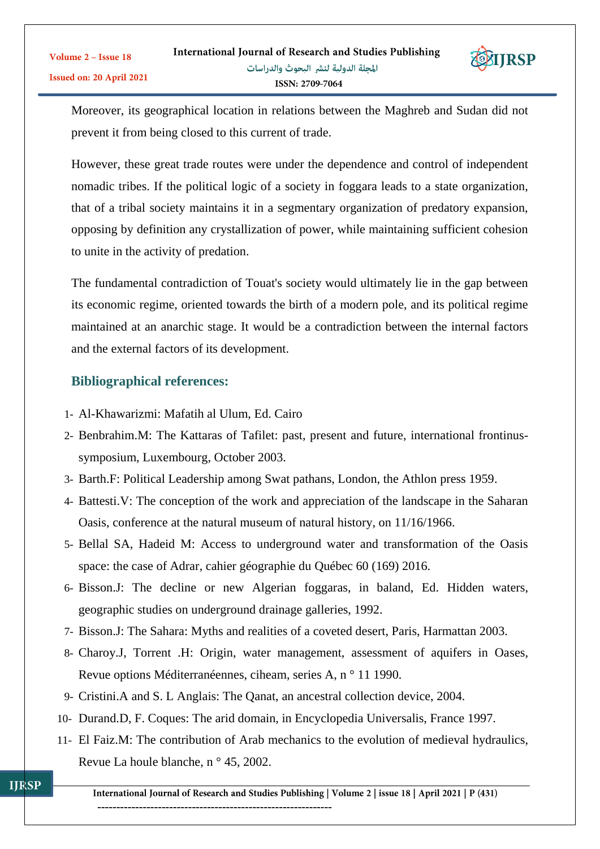

Moreover, its geographical location in relations between the Maghreb and Sudan did not prevent it from being closed to this current of trade.

However, these great trade routes were under the dependence and control of independent nomadic tribes. If the political logic of a society in foggara leads to a state organization, that of a tribal society maintains it in a segmentary organization of predatory expansion, opposing by definition any crystallization of power, while maintaining sufficient cohesion to unite in the activity of predation.

The fundamental contradiction of Touat's society would ultimately lie in the gap between its economic regime, oriented towards the birth of a modern pole, and its political regime maintained at an anarchic stage. It would be a contradiction between the internal factors and the external factors of its development.

# **Bibliographical references:**

- 1- Al-Khawarizmi: Mafatih al Ulum, Ed. Cairo
- 2- Benbrahim.M: The Kattaras of Tafilet: past, present and future, international frontinussymposium, Luxembourg, October 2003.
- 3- Barth.F: Political Leadership among Swat pathans, London, the Athlon press 1959.
- 4- Battesti.V: The conception of the work and appreciation of the landscape in the Saharan Oasis, conference at the natural museum of natural history, on 11/16/1966.
- 5- Bellal SA, Hadeid M: Access to underground water and transformation of the Oasis space: the case of Adrar, cahier géographie du Québec 60 (169) 2016.
- 6- Bisson.J: The decline or new Algerian foggaras, in baland, Ed. Hidden waters, geographic studies on underground drainage galleries, 1992.
- 7- Bisson.J: The Sahara: Myths and realities of a coveted desert, Paris, Harmattan 2003.
- 8- Charoy.J, Torrent .H: Origin, water management, assessment of aquifers in Oases, Revue options Méditerranéennes, ciheam, series A, n ° 11 1990.
- 9- Cristini.A and S. L Anglais: The Qanat, an ancestral collection device, 2004.
- 10- Durand.D, F. Coques: The arid domain, in Encyclopedia Universalis, France 1997.
- 11- El Faiz.M: The contribution of Arab mechanics to the evolution of medieval hydraulics, Revue La houle blanche, n ° 45, 2002.